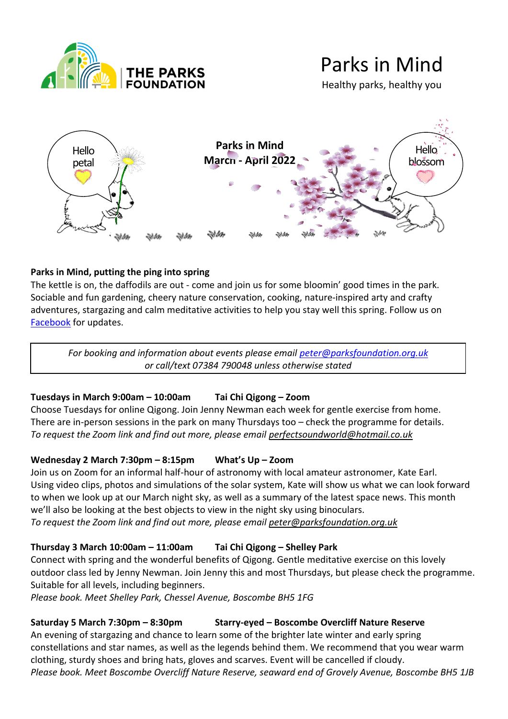

# Parks in Mind

Healthy parks, healthy you



## **Parks in Mind, putting the ping into spring**

]]]]

The kettle is on, the daffodils are out - come and join us for some bloomin' good times in the park. Sociable and fun gardening, cheery nature conservation, cooking, nature-inspired arty and crafty adventures, stargazing and calm meditative activities to help you stay well this spring. Follow us on [Facebook](https://www.facebook.com/groups/270055516961333) for updates.

*For booking and information about events please email [peter@parksfoundation.org.uk](mailto:peter@parksfoundation.org.uk) or call/text 07384 790048 unless otherwise stated*

## **Tuesdays in March 9:00am – 10:00am Tai Chi Qigong – Zoom**

Choose Tuesdays for online Qigong. Join Jenny Newman each week for gentle exercise from home. There are in-person sessions in the park on many Thursdays too – check the programme for details. *To request the Zoom link and find out more, please email [perfectsoundworld@hotmail.co.uk](mailto:perfectsoundworld@hotmail.co.uk)* 

## **Wednesday 2 March 7:30pm – 8:15pm What's Up – Zoom**

Join us on Zoom for an informal half-hour of astronomy with local amateur astronomer, Kate Earl. Using video cli[ps,](https://creativecommons.org/licenses/by-nc/3.0/) photos and simulations of the solar system, Kate will show us what we can [loo](https://creativecommons.org/licenses/by-nc/3.0/)k forward to when we lo[ok u](https://creativecommons.org/licenses/by-nc/3.0/)p at our March night sky, as well as a summary of the latest space news. T[his m](https://creativecommons.org/licenses/by-nc/3.0/)onth we'll also be l[ooki](https://creativecommons.org/licenses/by-nc/3.0/)ng at the best objects to view in the night sky using binoculars. *To request the [Zo](https://creativecommons.org/licenses/by-nc/3.0/)om link and find out more, please email [peter@parksfoundation.org.uk](mailto:peter@parksfoundation.org.uk)*

## **Thursday 3 M[arc](https://creativecommons.org/licenses/by-nc/3.0/)h 10:00am – 11:00am Tai Chi Qigong – Shelley Park**

Connect with spring and the wonderful benefits of Qigong. Gentle meditative exercise on this lovely outdoor class led by Jenny Newman. Join Jenny this and most Thursdays, but please check the programme. Suitable for all levels, including beginners.

*Please book. Meet Shelley Park, Chessel Avenue, Boscombe BH5 1FG* 

## **Saturday 5 March 7:30pm – 8:30pm Starry-eyed – Boscombe Overcliff Nature Reserve**

An evening of stargazing and chance to learn some of the brighter late winter and early spring constellations and star names, as well as the legends behind them. We recommend that you wear warm clothing, sturdy shoes and bring hats, gloves and scarves. Event will be cancelled if cloudy. *Please book. Meet Boscombe Overcliff Nature Reserve, seaward end of Grovely Avenue, Boscombe BH5 1JB*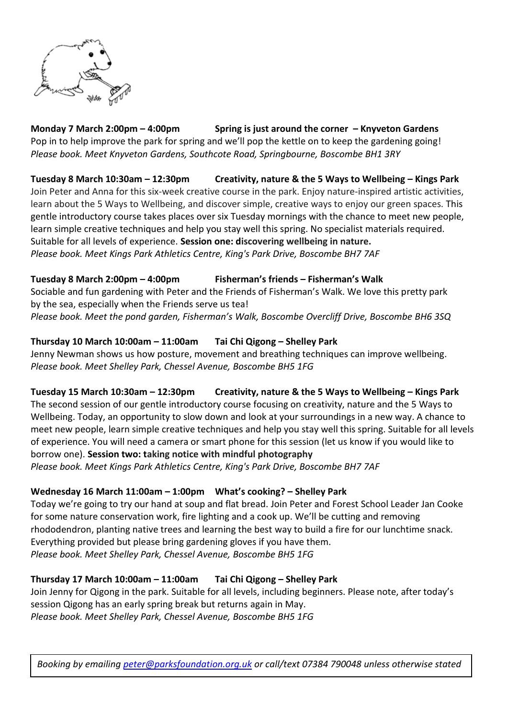

**Monday 7 March 2:00pm – 4:00pm Spring is just around the corner – Knyveton Gardens** Pop in to help improve the park for spring and we'll pop the kettle on to keep the gardening going! *Please book. Meet Knyveton Gardens, Southcote Road, Springbourne, Boscombe BH1 3RY*

#### **Tuesday 8 March 10:30am – 12:30pm Creativity, nature & the 5 Ways to Wellbeing – Kings Park**

Join Peter and Anna for this six-week creative course in the park. Enjoy nature-inspired artistic activities, learn about the 5 Ways to Wellbeing, and discover simple, creative ways to enjoy our green spaces. This gentle introductory course takes places over six Tuesday mornings with the chance to meet new people, learn simple creative techniques and help you stay well this spring. No specialist materials required. Suitable for all levels of experience. **Session one: discovering wellbeing in nature.** 

*Please book. Meet Kings Park Athletics Centre, King's Park Drive, Boscombe BH7 7AF* 

## **Tuesday 8 March 2:00pm – 4:00pm Fisherman's friends – Fisherman's Walk**

Sociable and fun gardening with Peter and the Friends of Fisherman's Walk. We love this pretty park by the sea, especially when the Friends serve us tea!

*Please book. Meet the pond garden, Fisherman's Walk, Boscombe Overcliff Drive, Boscombe BH6 3SQ*

## **Thursday 10 March 10:00am – 11:00am Tai Chi Qigong – Shelley Park**

Jenny Newman shows us how posture, movement and breathing techniques can improve wellbeing. *Please book. Meet Shelley Park, Chessel Avenue, Boscombe BH5 1FG*

## **Tuesday 15 March 10:30am – 12:30pm Creativity, nature & the 5 Ways to Wellbeing – Kings Park**

The second session of our gentle introductory course focusing on creativity, nature and the 5 Ways to Wellbeing. Today, an opportunity to slow down and look at your surroundings in a new way. A chance to meet new people, learn simple creative techniques and help you stay well this spring. Suitable for all levels of experience. You will need a camera or smart phone for this session (let us know if you would like to borrow one). **Session two: taking notice with mindful photography** *Please book. Meet Kings Park Athletics Centre, King's Park Drive, Boscombe BH7 7AF* 

## **Wednesday 16 March 11:00am – 1:00pm What's cooking? – Shelley Park**

Today we're going to try our hand at soup and flat bread. Join Peter and Forest School Leader Jan Cooke for some nature conservation work, fire lighting and a cook up. We'll be cutting and removing rhododendron, planting native trees and learning the best way to build a fire for our lunchtime snack. Everything provided but please bring gardening gloves if you have them. *Please book. Meet Shelley Park, Chessel Avenue, Boscombe BH5 1FG*

# **Thursday 17 March 10:00am – 11:00am Tai Chi Qigong – Shelley Park**

Join Jenny for Qigong in the park. Suitable for all levels, including beginners. Please note, after today's session Qigong has an early spring break but returns again in May. *Please book. Meet Shelley Park, Chessel Avenue, Boscombe BH5 1FG*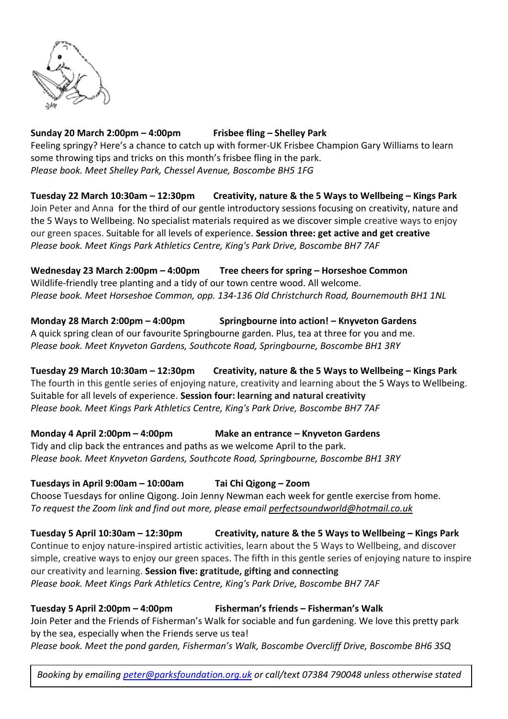

## **Sunday 20 March 2:00pm – 4:00pm Frisbee fling – Shelley Park**

Feeling springy? Here's a chance to catch up with former-UK Frisbee Champion Gary Williams to learn some throwing tips and tricks on this month's frisbee fling in the park. *Please book. Meet Shelley Park, Chessel Avenue, Boscombe BH5 1FG* 

**Tuesday 22 March 10:30am – 12:30pm Creativity, nature & the 5 Ways to Wellbeing – Kings Park**  Join Peter and Anna for the third of our gentle introductory sessions focusing on creativity, nature and the 5 Ways to Wellbeing. No specialist materials required as we discover simple creative ways to enjoy our green spaces. Suitable for all levels of experience. **Session three: get active and get creative** *Please book. Meet Kings Park Athletics Centre, King's Park Drive, Boscombe BH7 7AF* 

**Wednesday 23 March 2:00pm – 4:00pm Tree cheers for spring – Horseshoe Common** Wildlife-friendly tree planting and a tidy of our town centre wood. All welcome. *Please book. Meet Horseshoe Common, opp. 134-136 Old Christchurch Road, Bournemouth BH1 1NL*

**Monday 28 March 2:00pm – 4:00pm Springbourne into action! – Knyveton Gardens** A quick spring clean of our favourite Springbourne garden. Plus, tea at three for you and me. *Please book. Meet Knyveton Gardens, Southcote Road, Springbourne, Boscombe BH1 3RY*

**Tuesday 29 March 10:30am – 12:30pm Creativity, nature & the 5 Ways to Wellbeing – Kings Park**  The fourth in this gentle series of enjoying nature, creativity and learning about the 5 Ways to Wellbeing.

Suitable for all levels of experience. **Session four: learning and natural creativity** *Please book. Meet Kings Park Athletics Centre, King's Park Drive, Boscombe BH7 7AF* 

**Monday 4 April 2:00pm – 4:00pm Make an entrance – Knyveton Gardens**

Tidy and clip back the entrances and paths as we welcome April to the park. *Please book. Meet Knyveton Gardens, Southcote Road, Springbourne, Boscombe BH1 3RY*

# **Tuesdays in April 9:00am – 10:00am Tai Chi Qigong – Zoom**

Choose Tuesdays for online Qigong. Join Jenny Newman each week for gentle exercise from home. *To request the Zoom link and find out more, please email [perfectsoundworld@hotmail.co.uk](mailto:perfectsoundworld@hotmail.co.uk)*

**Tuesday 5 April 10:30am – 12:30pm Creativity, nature & the 5 Ways to Wellbeing – Kings Park**  Continue to enjoy nature-inspired artistic activities, learn about the 5 Ways to Wellbeing, and discover simple, creative ways to enjoy our green spaces. The fifth in this gentle series of enjoying nature to inspire our creativity and learning. **Session five: gratitude, gifting and connecting**  *Please book. Meet Kings Park Athletics Centre, King's Park Drive, Boscombe BH7 7AF* 

# **Tuesday 5 April 2:00pm – 4:00pm Fisherman's friends – Fisherman's Walk**

Join Peter and the Friends of Fisherman's Walk for sociable and fun gardening. We love this pretty park by the sea, especially when the Friends serve us tea!

*Please book. Meet the pond garden, Fisherman's Walk, Boscombe Overcliff Drive, Boscombe BH6 3SQ*

*Booking by emailing [peter@parksfoundation.org.uk](mailto:peter@parksfoundation.org.uk) or call/text 07384 790048 unless otherwise stated*